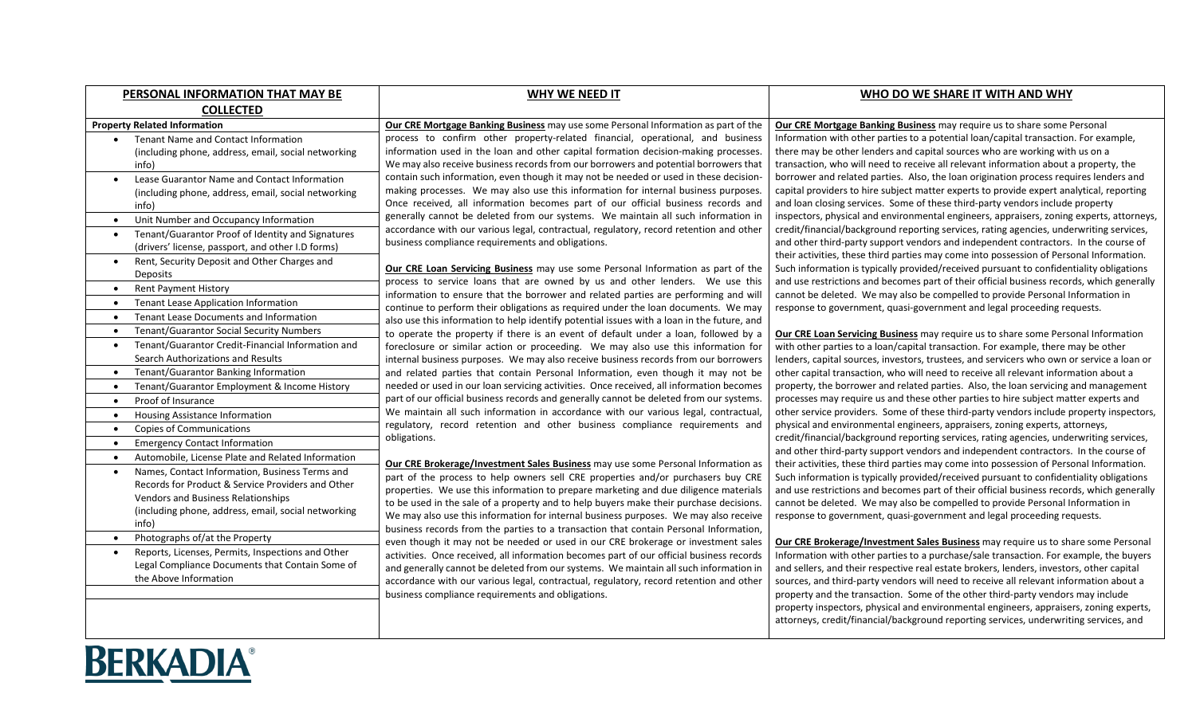| PERSONAL INFORMATION THAT MAY BE                               | <b>WHY WE NEED IT</b>                                                                                                                                                          | WHO DO WE SHARE IT WITH AND WHY                                                                                                                                             |
|----------------------------------------------------------------|--------------------------------------------------------------------------------------------------------------------------------------------------------------------------------|-----------------------------------------------------------------------------------------------------------------------------------------------------------------------------|
| <b>COLLECTED</b>                                               |                                                                                                                                                                                |                                                                                                                                                                             |
| <b>Property Related Information</b>                            | Our CRE Mortgage Banking Business may use some Personal Information as part of the                                                                                             | Our CRE Mortgage Banking Business may require us to share some Personal                                                                                                     |
| Tenant Name and Contact Information                            | process to confirm other property-related financial, operational, and business                                                                                                 | Information with other parties to a potential loan/capital transaction. For example,                                                                                        |
| (including phone, address, email, social networking            | information used in the loan and other capital formation decision-making processes.                                                                                            | there may be other lenders and capital sources who are working with us on a                                                                                                 |
| info)                                                          | We may also receive business records from our borrowers and potential borrowers that                                                                                           | transaction, who will need to receive all relevant information about a property, the                                                                                        |
| Lease Guarantor Name and Contact Information                   | contain such information, even though it may not be needed or used in these decision-                                                                                          | borrower and related parties. Also, the loan origination process requires lenders and                                                                                       |
| (including phone, address, email, social networking            | making processes. We may also use this information for internal business purposes.<br>Once received, all information becomes part of our official business records and         | capital providers to hire subject matter experts to provide expert analytical, reporting<br>and loan closing services. Some of these third-party vendors include property   |
| info)                                                          | generally cannot be deleted from our systems. We maintain all such information in                                                                                              | inspectors, physical and environmental engineers, appraisers, zoning experts, attorneys,                                                                                    |
| Unit Number and Occupancy Information                          | accordance with our various legal, contractual, regulatory, record retention and other                                                                                         | credit/financial/background reporting services, rating agencies, underwriting services,                                                                                     |
| Tenant/Guarantor Proof of Identity and Signatures              | business compliance requirements and obligations.                                                                                                                              | and other third-party support vendors and independent contractors. In the course of                                                                                         |
| (drivers' license, passport, and other I.D forms)              |                                                                                                                                                                                | their activities, these third parties may come into possession of Personal Information.                                                                                     |
| Rent, Security Deposit and Other Charges and<br>$\bullet$      | Our CRE Loan Servicing Business may use some Personal Information as part of the                                                                                               | Such information is typically provided/received pursuant to confidentiality obligations                                                                                     |
| Deposits<br><b>Rent Payment History</b><br>$\bullet$           | process to service loans that are owned by us and other lenders. We use this                                                                                                   | and use restrictions and becomes part of their official business records, which generally                                                                                   |
| Tenant Lease Application Information<br>$\bullet$              | information to ensure that the borrower and related parties are performing and will                                                                                            | cannot be deleted. We may also be compelled to provide Personal Information in                                                                                              |
| Tenant Lease Documents and Information<br>$\bullet$            | continue to perform their obligations as required under the loan documents. We may                                                                                             | response to government, quasi-government and legal proceeding requests.                                                                                                     |
| <b>Tenant/Guarantor Social Security Numbers</b><br>$\bullet$   | also use this information to help identify potential issues with a loan in the future, and                                                                                     |                                                                                                                                                                             |
| Tenant/Guarantor Credit-Financial Information and<br>$\bullet$ | to operate the property if there is an event of default under a loan, followed by a                                                                                            | Our CRE Loan Servicing Business may require us to share some Personal Information<br>with other parties to a loan/capital transaction. For example, there may be other      |
| Search Authorizations and Results                              | foreclosure or similar action or proceeding. We may also use this information for<br>internal business purposes. We may also receive business records from our borrowers       | lenders, capital sources, investors, trustees, and servicers who own or service a loan or                                                                                   |
| Tenant/Guarantor Banking Information<br>$\bullet$              | and related parties that contain Personal Information, even though it may not be                                                                                               | other capital transaction, who will need to receive all relevant information about a                                                                                        |
| Tenant/Guarantor Employment & Income History                   | needed or used in our loan servicing activities. Once received, all information becomes                                                                                        | property, the borrower and related parties. Also, the loan servicing and management                                                                                         |
| Proof of Insurance<br>$\bullet$                                | part of our official business records and generally cannot be deleted from our systems.                                                                                        | processes may require us and these other parties to hire subject matter experts and                                                                                         |
| Housing Assistance Information<br>$\bullet$                    | We maintain all such information in accordance with our various legal, contractual,                                                                                            | other service providers. Some of these third-party vendors include property inspectors,                                                                                     |
| <b>Copies of Communications</b><br>$\bullet$                   | regulatory, record retention and other business compliance requirements and                                                                                                    | physical and environmental engineers, appraisers, zoning experts, attorneys,                                                                                                |
| <b>Emergency Contact Information</b>                           | obligations.                                                                                                                                                                   | credit/financial/background reporting services, rating agencies, underwriting services,                                                                                     |
| Automobile, License Plate and Related Information              |                                                                                                                                                                                | and other third-party support vendors and independent contractors. In the course of                                                                                         |
| Names, Contact Information, Business Terms and<br>$\bullet$    | Our CRE Brokerage/Investment Sales Business may use some Personal Information as                                                                                               | their activities, these third parties may come into possession of Personal Information.                                                                                     |
| Records for Product & Service Providers and Other              | part of the process to help owners sell CRE properties and/or purchasers buy CRE                                                                                               | Such information is typically provided/received pursuant to confidentiality obligations                                                                                     |
| Vendors and Business Relationships                             | properties. We use this information to prepare marketing and due diligence materials<br>to be used in the sale of a property and to help buyers make their purchase decisions. | and use restrictions and becomes part of their official business records, which generally<br>cannot be deleted. We may also be compelled to provide Personal Information in |
| (including phone, address, email, social networking            | We may also use this information for internal business purposes. We may also receive                                                                                           | response to government, quasi-government and legal proceeding requests.                                                                                                     |
| info)                                                          | business records from the parties to a transaction that contain Personal Information,                                                                                          |                                                                                                                                                                             |
| Photographs of/at the Property<br>$\bullet$                    | even though it may not be needed or used in our CRE brokerage or investment sales                                                                                              | Our CRE Brokerage/Investment Sales Business may require us to share some Personal                                                                                           |
| Reports, Licenses, Permits, Inspections and Other              | activities. Once received, all information becomes part of our official business records                                                                                       | Information with other parties to a purchase/sale transaction. For example, the buyers                                                                                      |
| Legal Compliance Documents that Contain Some of                | and generally cannot be deleted from our systems. We maintain all such information in                                                                                          | and sellers, and their respective real estate brokers, lenders, investors, other capital                                                                                    |
| the Above Information                                          | accordance with our various legal, contractual, regulatory, record retention and other                                                                                         | sources, and third-party vendors will need to receive all relevant information about a                                                                                      |
|                                                                | business compliance requirements and obligations.                                                                                                                              | property and the transaction. Some of the other third-party vendors may include                                                                                             |
|                                                                |                                                                                                                                                                                | property inspectors, physical and environmental engineers, appraisers, zoning experts,                                                                                      |
|                                                                |                                                                                                                                                                                | attorneys, credit/financial/background reporting services, underwriting services, and                                                                                       |
|                                                                |                                                                                                                                                                                |                                                                                                                                                                             |

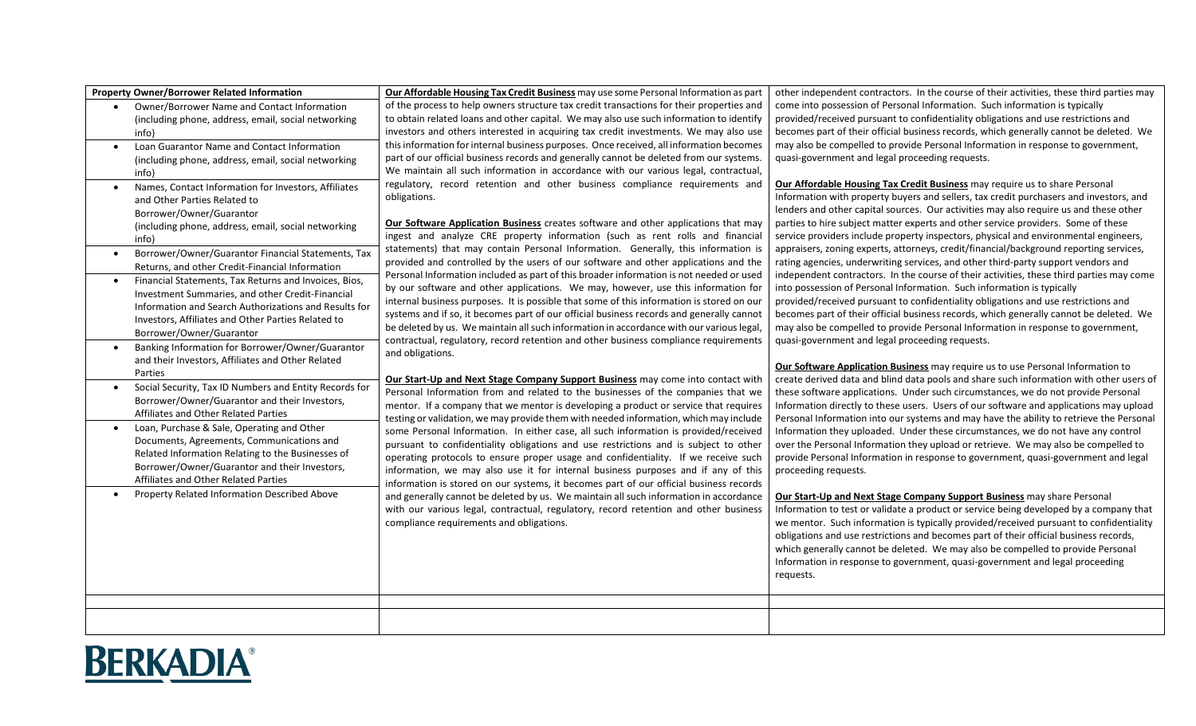| <b>Property Owner/Borrower Related Information</b>                 | Our Affordable Housing Tax Credit Business may use some Personal Information as part                                                                                          | other independent contractors. In the course of their activities, these third parties may                                                                                   |
|--------------------------------------------------------------------|-------------------------------------------------------------------------------------------------------------------------------------------------------------------------------|-----------------------------------------------------------------------------------------------------------------------------------------------------------------------------|
| Owner/Borrower Name and Contact Information                        | of the process to help owners structure tax credit transactions for their properties and                                                                                      | come into possession of Personal Information. Such information is typically                                                                                                 |
| (including phone, address, email, social networking                | to obtain related loans and other capital. We may also use such information to identify                                                                                       | provided/received pursuant to confidentiality obligations and use restrictions and                                                                                          |
| info)                                                              | investors and others interested in acquiring tax credit investments. We may also use                                                                                          | becomes part of their official business records, which generally cannot be deleted. We                                                                                      |
| Loan Guarantor Name and Contact Information                        | this information for internal business purposes. Once received, all information becomes                                                                                       | may also be compelled to provide Personal Information in response to government,                                                                                            |
| (including phone, address, email, social networking                | part of our official business records and generally cannot be deleted from our systems.                                                                                       | quasi-government and legal proceeding requests.                                                                                                                             |
| info)                                                              | We maintain all such information in accordance with our various legal, contractual,                                                                                           |                                                                                                                                                                             |
| Names, Contact Information for Investors, Affiliates               | regulatory, record retention and other business compliance requirements and                                                                                                   | Our Affordable Housing Tax Credit Business may require us to share Personal                                                                                                 |
| and Other Parties Related to                                       | obligations.                                                                                                                                                                  | Information with property buyers and sellers, tax credit purchasers and investors, and                                                                                      |
| Borrower/Owner/Guarantor                                           |                                                                                                                                                                               | lenders and other capital sources. Our activities may also require us and these other                                                                                       |
| (including phone, address, email, social networking                | Our Software Application Business creates software and other applications that may                                                                                            | parties to hire subject matter experts and other service providers. Some of these                                                                                           |
| info)                                                              | ingest and analyze CRE property information (such as rent rolls and financial                                                                                                 | service providers include property inspectors, physical and environmental engineers,                                                                                        |
| Borrower/Owner/Guarantor Financial Statements, Tax                 | statements) that may contain Personal Information. Generally, this information is                                                                                             | appraisers, zoning experts, attorneys, credit/financial/background reporting services,                                                                                      |
| Returns, and other Credit-Financial Information                    | provided and controlled by the users of our software and other applications and the                                                                                           | rating agencies, underwriting services, and other third-party support vendors and                                                                                           |
| Financial Statements, Tax Returns and Invoices, Bios,<br>$\bullet$ | Personal Information included as part of this broader information is not needed or used                                                                                       | independent contractors. In the course of their activities, these third parties may come                                                                                    |
| Investment Summaries, and other Credit-Financial                   | by our software and other applications. We may, however, use this information for                                                                                             | into possession of Personal Information. Such information is typically                                                                                                      |
| Information and Search Authorizations and Results for              | internal business purposes. It is possible that some of this information is stored on our                                                                                     | provided/received pursuant to confidentiality obligations and use restrictions and                                                                                          |
| Investors, Affiliates and Other Parties Related to                 | systems and if so, it becomes part of our official business records and generally cannot                                                                                      | becomes part of their official business records, which generally cannot be deleted. We                                                                                      |
| Borrower/Owner/Guarantor                                           | be deleted by us. We maintain all such information in accordance with our various legal,                                                                                      | may also be compelled to provide Personal Information in response to government,                                                                                            |
| Banking Information for Borrower/Owner/Guarantor                   | contractual, regulatory, record retention and other business compliance requirements                                                                                          | quasi-government and legal proceeding requests.                                                                                                                             |
| and their Investors, Affiliates and Other Related                  | and obligations.                                                                                                                                                              |                                                                                                                                                                             |
| Parties                                                            |                                                                                                                                                                               | Our Software Application Business may require us to use Personal Information to                                                                                             |
| Social Security, Tax ID Numbers and Entity Records for             | Our Start-Up and Next Stage Company Support Business may come into contact with                                                                                               | create derived data and blind data pools and share such information with other users of                                                                                     |
| Borrower/Owner/Guarantor and their Investors,                      | Personal Information from and related to the businesses of the companies that we                                                                                              | these software applications. Under such circumstances, we do not provide Personal                                                                                           |
| Affiliates and Other Related Parties                               | mentor. If a company that we mentor is developing a product or service that requires<br>testing or validation, we may provide them with needed information, which may include | Information directly to these users. Users of our software and applications may upload                                                                                      |
| Loan, Purchase & Sale, Operating and Other                         | some Personal Information. In either case, all such information is provided/received                                                                                          | Personal Information into our systems and may have the ability to retrieve the Personal<br>Information they uploaded. Under these circumstances, we do not have any control |
| Documents, Agreements, Communications and                          | pursuant to confidentiality obligations and use restrictions and is subject to other                                                                                          | over the Personal Information they upload or retrieve. We may also be compelled to                                                                                          |
| Related Information Relating to the Businesses of                  | operating protocols to ensure proper usage and confidentiality. If we receive such                                                                                            | provide Personal Information in response to government, quasi-government and legal                                                                                          |
| Borrower/Owner/Guarantor and their Investors,                      | information, we may also use it for internal business purposes and if any of this                                                                                             | proceeding requests.                                                                                                                                                        |
| Affiliates and Other Related Parties                               | information is stored on our systems, it becomes part of our official business records                                                                                        |                                                                                                                                                                             |
| Property Related Information Described Above                       | and generally cannot be deleted by us. We maintain all such information in accordance                                                                                         | Our Start-Up and Next Stage Company Support Business may share Personal                                                                                                     |
|                                                                    | with our various legal, contractual, regulatory, record retention and other business                                                                                          | Information to test or validate a product or service being developed by a company that                                                                                      |
|                                                                    | compliance requirements and obligations.                                                                                                                                      | we mentor. Such information is typically provided/received pursuant to confidentiality                                                                                      |
|                                                                    |                                                                                                                                                                               | obligations and use restrictions and becomes part of their official business records,                                                                                       |
|                                                                    |                                                                                                                                                                               | which generally cannot be deleted. We may also be compelled to provide Personal                                                                                             |
|                                                                    |                                                                                                                                                                               | Information in response to government, quasi-government and legal proceeding                                                                                                |
|                                                                    |                                                                                                                                                                               | requests.                                                                                                                                                                   |
|                                                                    |                                                                                                                                                                               |                                                                                                                                                                             |
|                                                                    |                                                                                                                                                                               |                                                                                                                                                                             |
|                                                                    |                                                                                                                                                                               |                                                                                                                                                                             |
|                                                                    |                                                                                                                                                                               |                                                                                                                                                                             |